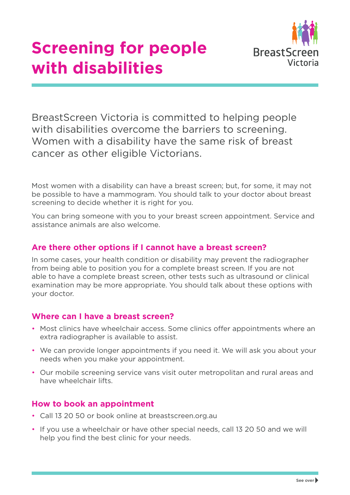

BreastScreen Victoria is committed to helping people with disabilities overcome the barriers to screening. Women with a disability have the same risk of breast cancer as other eligible Victorians.

Most women with a disability can have a breast screen; but, for some, it may not be possible to have a mammogram. You should talk to your doctor about breast screening to decide whether it is right for you.

You can bring someone with you to your breast screen appointment. Service and assistance animals are also welcome.

#### **Are there other options if I cannot have a breast screen?**

In some cases, your health condition or disability may prevent the radiographer from being able to position you for a complete breast screen. If you are not able to have a complete breast screen, other tests such as ultrasound or clinical examination may be more appropriate. You should talk about these options with your doctor.

#### **Where can I have a breast screen?**

- Most clinics have wheelchair access. Some clinics offer appointments where an extra radiographer is available to assist.
- We can provide longer appointments if you need it. We will ask you about your needs when you make your appointment.
- Our mobile screening service vans visit outer metropolitan and rural areas and have wheelchair lifts.

## **How to book an appointment**

- Call 13 20 50 or book online at breastscreen.org.au
- If you use a wheelchair or have other special needs, call 13 20 50 and we will help you find the best clinic for your needs.